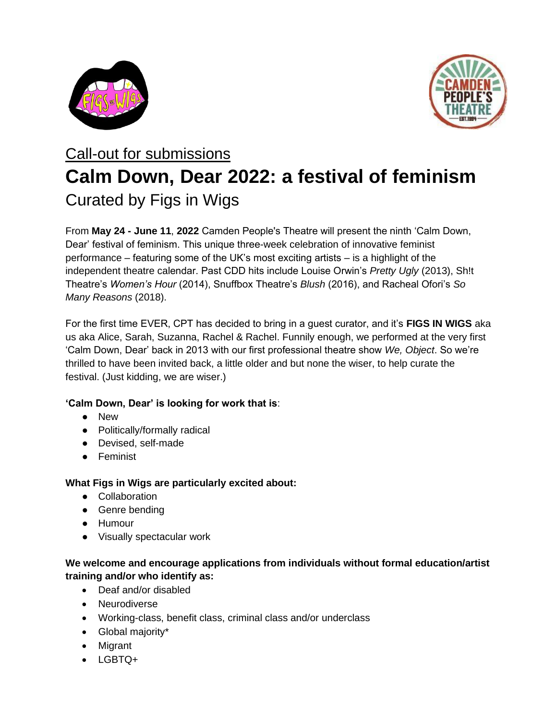



# Call-out for submissions **Calm Down, Dear 2022: a festival of feminism** Curated by Figs in Wigs

From **May 24 - June 11**, **2022** Camden People's Theatre will present the ninth 'Calm Down, Dear' festival of feminism. This unique three-week celebration of innovative feminist performance – featuring some of the UK's most exciting artists – is a highlight of the independent theatre calendar. Past CDD hits include Louise Orwin's *Pretty Ugly* (2013), Sh!t Theatre's *Women's Hour* (2014), Snuffbox Theatre's *Blush* (2016), and Racheal Ofori's *So Many Reasons* (2018).

For the first time EVER, CPT has decided to bring in a guest curator, and it's **FIGS IN WIGS** aka us aka Alice, Sarah, Suzanna, Rachel & Rachel. Funnily enough, we performed at the very first 'Calm Down, Dear' back in 2013 with our first professional theatre show *We, Object*. So we're thrilled to have been invited back, a little older and but none the wiser, to help curate the festival. (Just kidding, we are wiser.)

# **'Calm Down, Dear' is looking for work that is**:

- New
- Politically/formally radical
- Devised, self-made
- Feminist

# **What Figs in Wigs are particularly excited about:**

- Collaboration
- Genre bending
- Humour
- Visually spectacular work

### **We welcome and encourage applications from individuals without formal education/artist training and/or who identify as:**

- Deaf and/or disabled
- Neurodiverse
- Working-class, benefit class, criminal class and/or underclass
- Global majority\*
- Migrant
- LGBTQ+